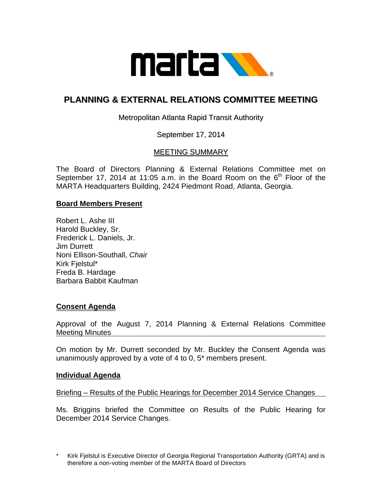

# **PLANNING & EXTERNAL RELATIONS COMMITTEE MEETING**

## Metropolitan Atlanta Rapid Transit Authority

## September 17, 2014

## MEETING SUMMARY

The Board of Directors Planning & External Relations Committee met on September 17, 2014 at 11:05 a.m. in the Board Room on the  $6<sup>th</sup>$  Floor of the MARTA Headquarters Building, 2424 Piedmont Road, Atlanta, Georgia.

#### **Board Members Present**

Robert L. Ashe III Harold Buckley, Sr. Frederick L. Daniels, Jr. Jim Durrett Noni Ellison-Southall, *Chair* Kirk Fjelstul\* Freda B. Hardage Barbara Babbit Kaufman

#### **Consent Agenda**

Approval of the August 7, 2014 Planning & External Relations Committee Meeting Minutes

On motion by Mr. Durrett seconded by Mr. Buckley the Consent Agenda was unanimously approved by a vote of 4 to 0, 5\* members present.

#### **Individual Agenda**

Briefing – Results of the Public Hearings for December 2014 Service Changes

Ms. Briggins briefed the Committee on Results of the Public Hearing for December 2014 Service Changes.

Kirk Fjelstul is Executive Director of Georgia Regional Transportation Authority (GRTA) and is therefore a non-voting member of the MARTA Board of Directors